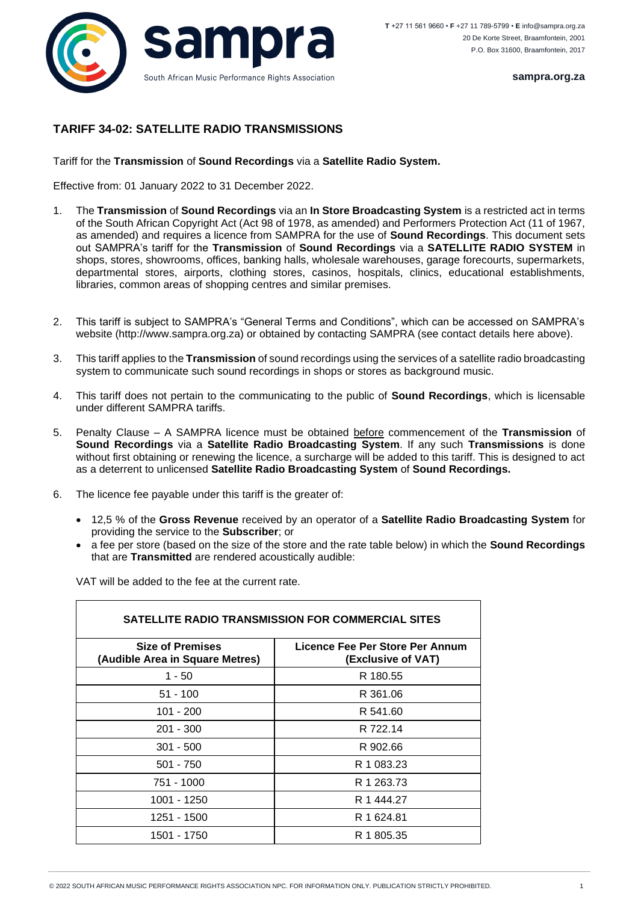

**sampra.org.za**

## **TARIFF 34-02: SATELLITE RADIO TRANSMISSIONS**

Tariff for the **Transmission** of **Sound Recordings** via a **Satellite Radio System.**

Effective from: 01 January 2022 to 31 December 2022.

- 1. The **Transmission** of **Sound Recordings** via an **In Store Broadcasting System** is a restricted act in terms of the South African Copyright Act (Act 98 of 1978, as amended) and Performers Protection Act (11 of 1967, as amended) and requires a licence from SAMPRA for the use of **Sound Recordings**. This document sets out SAMPRA's tariff for the **Transmission** of **Sound Recordings** via a **SATELLITE RADIO SYSTEM** in shops, stores, showrooms, offices, banking halls, wholesale warehouses, garage forecourts, supermarkets, departmental stores, airports, clothing stores, casinos, hospitals, clinics, educational establishments, libraries, common areas of shopping centres and similar premises.
- 2. This tariff is subject to SAMPRA's "General Terms and Conditions", which can be accessed on SAMPRA's website (http://www.sampra.org.za) or obtained by contacting SAMPRA (see contact details here above).
- 3. This tariff applies to the **Transmission** of sound recordings using the services of a satellite radio broadcasting system to communicate such sound recordings in shops or stores as background music.
- 4. This tariff does not pertain to the communicating to the public of **Sound Recordings**, which is licensable under different SAMPRA tariffs.
- 5. Penalty Clause A SAMPRA licence must be obtained before commencement of the **Transmission** of **Sound Recordings** via a **Satellite Radio Broadcasting System**. If any such **Transmissions** is done without first obtaining or renewing the licence, a surcharge will be added to this tariff. This is designed to act as a deterrent to unlicensed **Satellite Radio Broadcasting System** of **Sound Recordings.**
- 6. The licence fee payable under this tariff is the greater of:
	- 12,5 % of the **Gross Revenue** received by an operator of a **Satellite Radio Broadcasting System** for providing the service to the **Subscriber**; or
	- a fee per store (based on the size of the store and the rate table below) in which the **Sound Recordings** that are **Transmitted** are rendered acoustically audible:

VAT will be added to the fee at the current rate.

| <b>SATELLITE RADIO TRANSMISSION FOR COMMERCIAL SITES</b>   |                                                       |
|------------------------------------------------------------|-------------------------------------------------------|
| <b>Size of Premises</b><br>(Audible Area in Square Metres) | Licence Fee Per Store Per Annum<br>(Exclusive of VAT) |
| $1 - 50$                                                   | R 180.55                                              |
| $51 - 100$                                                 | R 361.06                                              |
| $101 - 200$                                                | R 541.60                                              |
| $201 - 300$                                                | R 722.14                                              |
| $301 - 500$                                                | R 902.66                                              |
| $501 - 750$                                                | R 1 083.23                                            |
| 751 - 1000                                                 | R 1 263.73                                            |
| 1001 - 1250                                                | R 1 444 27                                            |
| 1251 - 1500                                                | R 1 624.81                                            |
| 1501 - 1750                                                | R 1 805.35                                            |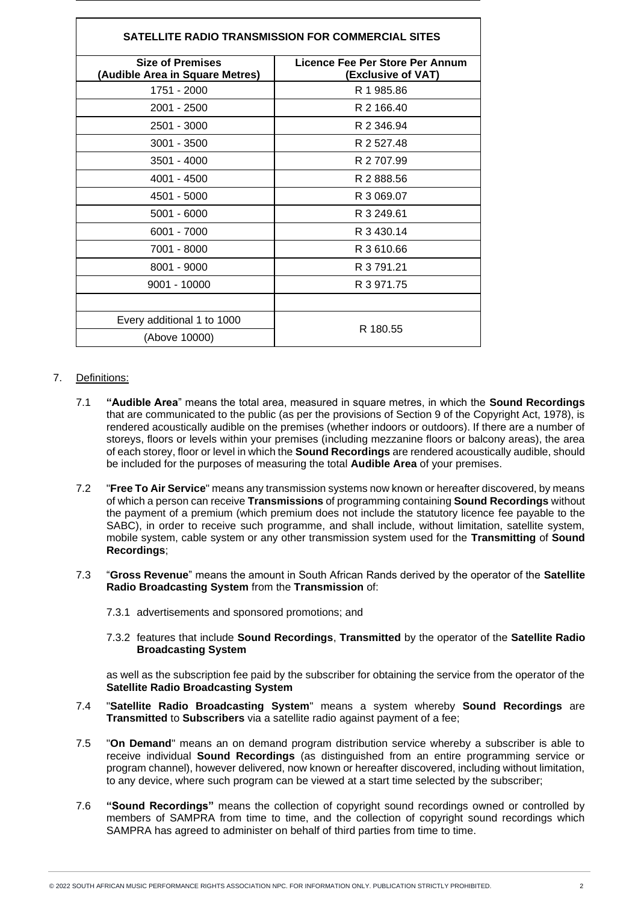| SATELLITE RADIO TRANSMISSION FOR COMMERCIAL SITES          |                                                       |
|------------------------------------------------------------|-------------------------------------------------------|
| <b>Size of Premises</b><br>(Audible Area in Square Metres) | Licence Fee Per Store Per Annum<br>(Exclusive of VAT) |
| 1751 - 2000                                                | R 1 985.86                                            |
| 2001 - 2500                                                | R 2 166.40                                            |
| 2501 - 3000                                                | R 2 346.94                                            |
| $3001 - 3500$                                              | R 2 527.48                                            |
| $3501 - 4000$                                              | R 2 707.99                                            |
| 4001 - 4500                                                | R 2 888.56                                            |
| 4501 - 5000                                                | R 3 069.07                                            |
| $5001 - 6000$                                              | R 3 249.61                                            |
| 6001 - 7000                                                | R 3 430.14                                            |
| 7001 - 8000                                                | R 3 610.66                                            |
| 8001 - 9000                                                | R 3 791.21                                            |
| 9001 - 10000                                               | R 3 971.75                                            |
|                                                            |                                                       |
| Every additional 1 to 1000                                 | R 180.55                                              |
| (Above 10000)                                              |                                                       |

## 7. Definitions:

- 7.1 **"Audible Area**" means the total area, measured in square metres, in which the **Sound Recordings** that are communicated to the public (as per the provisions of Section 9 of the Copyright Act, 1978), is rendered acoustically audible on the premises (whether indoors or outdoors). If there are a number of storeys, floors or levels within your premises (including mezzanine floors or balcony areas), the area of each storey, floor or level in which the **Sound Recordings** are rendered acoustically audible, should be included for the purposes of measuring the total **Audible Area** of your premises.
- 7.2 "**Free To Air Service**" means any transmission systems now known or hereafter discovered, by means of which a person can receive **Transmissions** of programming containing **Sound Recordings** without the payment of a premium (which premium does not include the statutory licence fee payable to the SABC), in order to receive such programme, and shall include, without limitation, satellite system, mobile system, cable system or any other transmission system used for the **Transmitting** of **Sound Recordings**;
- 7.3 "**Gross Revenue**" means the amount in South African Rands derived by the operator of the **Satellite Radio Broadcasting System** from the **Transmission** of:
	- 7.3.1 advertisements and sponsored promotions; and
	- 7.3.2 features that include **Sound Recordings**, **Transmitted** by the operator of the **Satellite Radio Broadcasting System**

as well as the subscription fee paid by the subscriber for obtaining the service from the operator of the **Satellite Radio Broadcasting System**

- 7.4 "**Satellite Radio Broadcasting System**" means a system whereby **Sound Recordings** are **Transmitted** to **Subscribers** via a satellite radio against payment of a fee;
- 7.5 "**On Demand**" means an on demand program distribution service whereby a subscriber is able to receive individual **Sound Recordings** (as distinguished from an entire programming service or program channel), however delivered, now known or hereafter discovered, including without limitation, to any device, where such program can be viewed at a start time selected by the subscriber;
- 7.6 **"Sound Recordings"** means the collection of copyright sound recordings owned or controlled by members of SAMPRA from time to time, and the collection of copyright sound recordings which SAMPRA has agreed to administer on behalf of third parties from time to time.